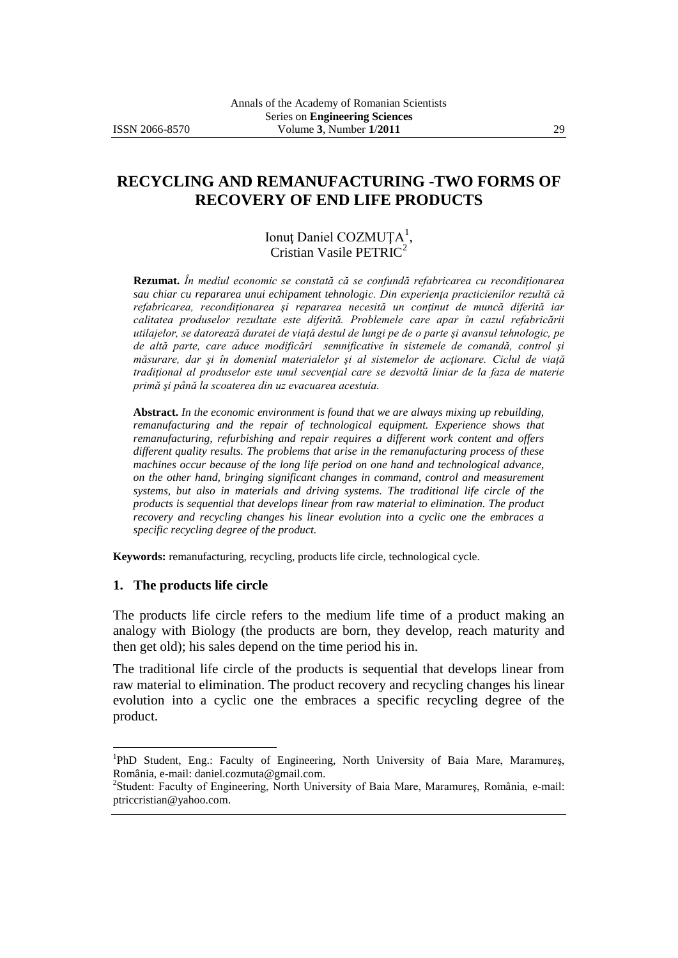# **RECYCLING AND REMANUFACTURING -TWO FORMS OF RECOVERY OF END LIFE PRODUCTS**

### Ionuț Daniel COZMUȚA<sup>1</sup>, Cristian Vasile PETRIC<sup>2</sup>

**Rezumat.** *În mediul economic se constată că se confundă refabricarea cu recondiţionarea*  sau chiar cu repararea unui echipament tehnologic. Din experiența practicienilor rezultă că *refabricarea, recondiţionarea şi repararea necesită un conţinut de muncă diferită iar calitatea produselor rezultate este diferită. Problemele care apar în cazul refabricării utilajelor, se datorează duratei de viaţă destul de lungi pe de o parte şi avansul tehnologic, pe de altă parte, care aduce modificări semnificative în sistemele de comandă, control şi măsurare, dar şi în domeniul materialelor şi al sistemelor de acţionare. Ciclul de viaţă*  tradițional al produselor este unul secvențial care se dezvoltă liniar de la faza de materie *primă şi până la scoaterea din uz evacuarea acestuia.* 

**Abstract.** *In the economic environment is found that we are always mixing up rebuilding, remanufacturing and the repair of technological equipment. Experience shows that remanufacturing, refurbishing and repair requires a different work content and offers different quality results. The problems that arise in the remanufacturing process of these machines occur because of the long life period on one hand and technological advance, on the other hand, bringing significant changes in command, control and measurement systems, but also in materials and driving systems. The traditional life circle of the products is sequential that develops linear from raw material to elimination. The product recovery and recycling changes his linear evolution into a cyclic one the embraces a specific recycling degree of the product.*

**Keywords:** remanufacturing, recycling, products life circle, technological cycle.

#### **1. The products life circle**

 $\overline{a}$ 

The products life circle refers to the medium life time of a product making an analogy with Biology (the products are born, they develop, reach maturity and then get old); his sales depend on the time period his in.

The traditional life circle of the products is sequential that develops linear from raw material to elimination. The product recovery and recycling changes his linear evolution into a cyclic one the embraces a specific recycling degree of the product.

<sup>&</sup>lt;sup>1</sup>PhD Student, Eng.: Faculty of Engineering, North University of Baia Mare, Maramureș, România, e-mail: daniel.cozmuta@gmail.com.

<sup>&</sup>lt;sup>2</sup>Student: Faculty of Engineering, North University of Baia Mare, Maramureş, România, e-mail: ptriccristian@yahoo.com.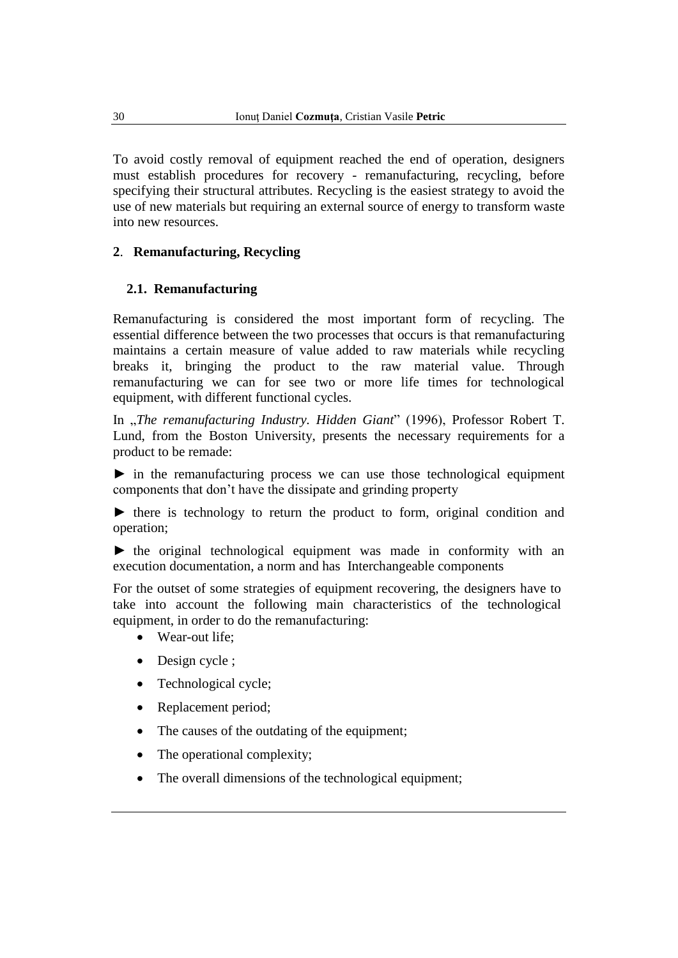To avoid costly removal of equipment reached the end of operation, designers must establish procedures for recovery - remanufacturing, recycling, before specifying their structural attributes. Recycling is the easiest strategy to avoid the use of new materials but requiring an external source of energy to transform waste into new resources.

### **2**. **Remanufacturing, Recycling**

### **2.1. Remanufacturing**

Remanufacturing is considered the most important form of recycling. The essential difference between the two processes that occurs is that remanufacturing maintains a certain measure of value added to raw materials while recycling breaks it, bringing the product to the raw material value. Through remanufacturing we can for see two or more life times for technological equipment, with different functional cycles.

In "*The remanufacturing Industry. Hidden Giant*" (1996), Professor Robert T. Lund, from the Boston University, presents the necessary requirements for a product to be remade:

► in the remanufacturing process we can use those technological equipment components that don't have the dissipate and grinding property

► there is technology to return the product to form, original condition and operation;

► the original technological equipment was made in conformity with an execution documentation, a norm and has Interchangeable components

For the outset of some strategies of equipment recovering, the designers have to take into account the following main characteristics of the technological equipment, in order to do the remanufacturing:

- Wear-out life:
- Design cycle ;
- Technological cycle;
- Replacement period;
- The causes of the outdating of the equipment;
- The operational complexity;
- The overall dimensions of the technological equipment;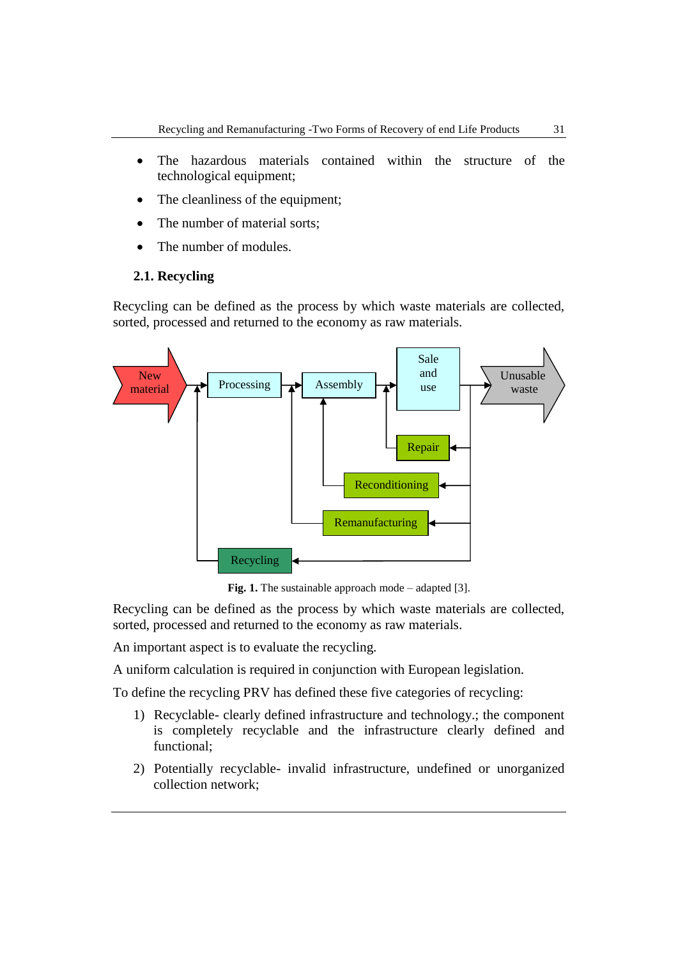- The hazardous materials contained within the structure of the technological equipment;
- The cleanliness of the equipment;
- The number of material sorts:
- The number of modules.

#### **2.1. Recycling**

Recycling can be defined as the process by which waste materials are collected, sorted, processed and returned to the economy as raw materials.



**Fig. 1.** The sustainable approach mode – adapted [3].

Recycling can be defined as the process by which waste materials are collected, sorted, processed and returned to the economy as raw materials.

An important aspect is to evaluate the recycling.

A uniform calculation is required in conjunction with European legislation.

To define the recycling PRV has defined these five categories of recycling:

- 1) Recyclable- clearly defined infrastructure and technology.; the component is completely recyclable and the infrastructure clearly defined and functional;
- 2) Potentially recyclable- invalid infrastructure, undefined or unorganized collection network;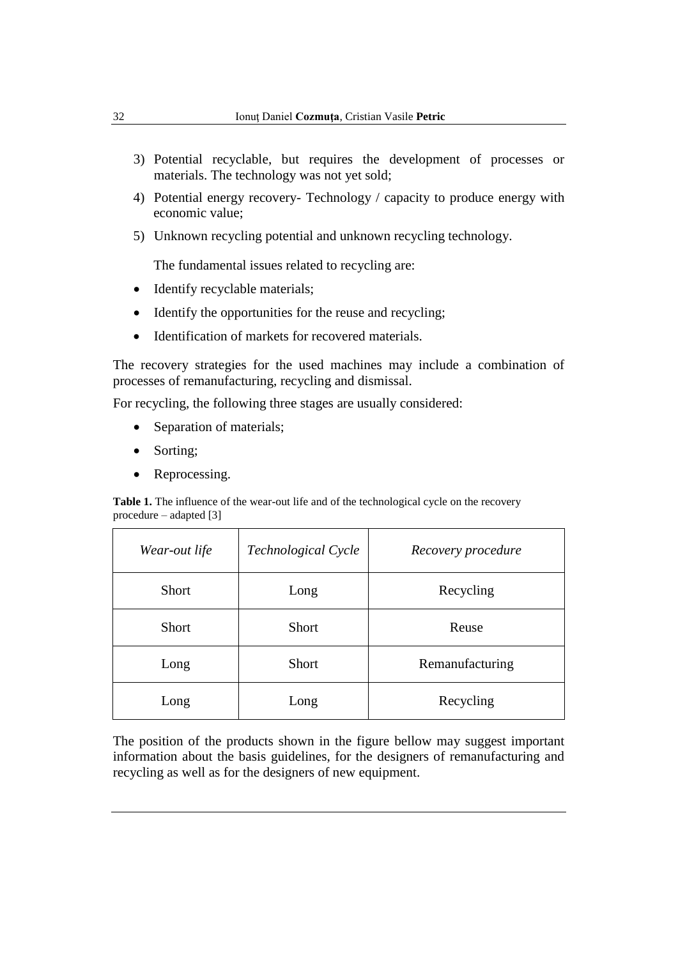- 3) Potential recyclable, but requires the development of processes or materials. The technology was not yet sold;
- 4) Potential energy recovery- Technology / capacity to produce energy with economic value;
- 5) Unknown recycling potential and unknown recycling technology.

The fundamental issues related to recycling are:

- Identify recyclable materials;
- Identify the opportunities for the reuse and recycling;
- Identification of markets for recovered materials.

The recovery strategies for the used machines may include a combination of processes of remanufacturing, recycling and dismissal.

For recycling, the following three stages are usually considered:

- Separation of materials;
- Sorting;
- Reprocessing.

**Table 1.** The influence of the wear-out life and of the technological cycle on the recovery procedure – adapted [3]

| Wear-out life | Technological Cycle | Recovery procedure |
|---------------|---------------------|--------------------|
| Short         | Long                | Recycling          |
| Short         | <b>Short</b>        | Reuse              |
| Long          | <b>Short</b>        | Remanufacturing    |
| Long          | Long                | Recycling          |

The position of the products shown in the figure bellow may suggest important information about the basis guidelines, for the designers of remanufacturing and recycling as well as for the designers of new equipment.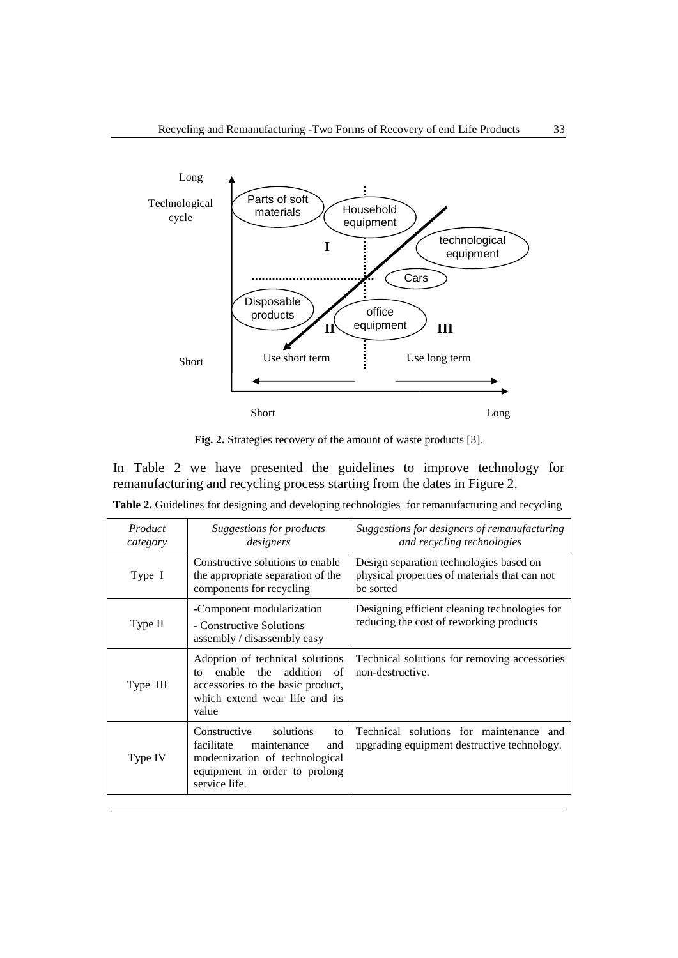

**Fig. 2.** Strategies recovery of the amount of waste products [3].

In Table 2 we have presented the guidelines to improve technology for remanufacturing and recycling process starting from the dates in Figure 2.

| Product<br>category | Suggestions for products<br>designers                                                                                                                    | Suggestions for designers of remanufacturing<br>and recycling technologies                            |
|---------------------|----------------------------------------------------------------------------------------------------------------------------------------------------------|-------------------------------------------------------------------------------------------------------|
| Type I              | Constructive solutions to enable<br>the appropriate separation of the<br>components for recycling                                                        | Design separation technologies based on<br>physical properties of materials that can not<br>be sorted |
| Type II             | -Component modularization<br>- Constructive Solutions<br>assembly / disassembly easy                                                                     | Designing efficient cleaning technologies for<br>reducing the cost of reworking products              |
| Type III            | Adoption of technical solutions<br>addition<br>enable<br>the<br>of<br>tΩ<br>accessories to the basic product,<br>which extend wear life and its<br>value | Technical solutions for removing accessories<br>non-destructive.                                      |
| Type IV             | solutions<br>Constructive<br>to<br>facilitate<br>maintenance<br>and<br>modernization of technological<br>equipment in order to prolong<br>service life.  | Technical solutions for maintenance and<br>upgrading equipment destructive technology.                |